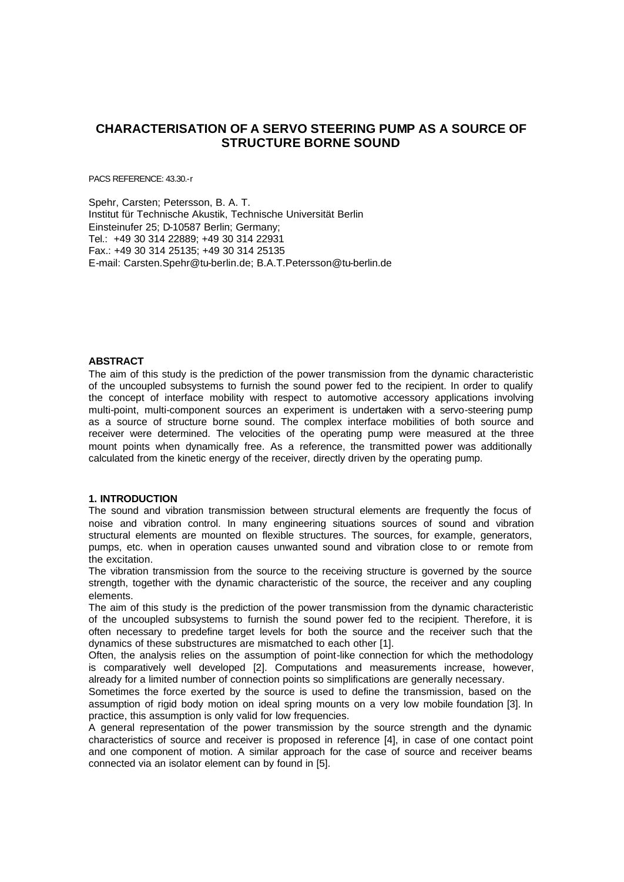# **CHARACTERISATION OF A SERVO STEERING PUMP AS A SOURCE OF STRUCTURE BORNE SOUND**

PACS REFERENCE: 43.30.-r

Spehr, Carsten; Petersson, B. A. T. Institut für Technische Akustik, Technische Universität Berlin Einsteinufer 25; D-10587 Berlin; Germany;  $Tel + 49 30 314 22889 + 49 30 314 22931$ Fax.: +49 30 314 25135; +49 30 314 25135 E-mail: Carsten.Spehr@tu-berlin.de; B.A.T.Petersson@tu-berlin.de

## **ABSTRACT**

The aim of this study is the prediction of the power transmission from the dynamic characteristic of the uncoupled subsystems to furnish the sound power fed to the recipient. In order to qualify the concept of interface mobility with respect to automotive accessory applications involving multi-point, multi-component sources an experiment is undertaken with a servo-steering pump as a source of structure borne sound. The complex interface mobilities of both source and receiver were determined. The velocities of the operating pump were measured at the three mount points when dynamically free. As a reference, the transmitted power was additionally calculated from the kinetic energy of the receiver, directly driven by the operating pump.

# **1. INTRODUCTION**

The sound and vibration transmission between structural elements are frequently the focus of noise and vibration control. In many engineering situations sources of sound and vibration structural elements are mounted on flexible structures. The sources, for example, generators, pumps, etc. when in operation causes unwanted sound and vibration close to or remote from the excitation.

The vibration transmission from the source to the receiving structure is governed by the source strength, together with the dynamic characteristic of the source, the receiver and any coupling elements.

The aim of this study is the prediction of the power transmission from the dynamic characteristic of the uncoupled subsystems to furnish the sound power fed to the recipient. Therefore, it is often necessary to predefine target levels for both the source and the receiver such that the dynamics of these substructures are mismatched to each other [1].

Often, the analysis relies on the assumption of point-like connection for which the methodology is comparatively well developed [2]. Computations and measurements increase, however, already for a limited number of connection points so simplifications are generally necessary.

Sometimes the force exerted by the source is used to define the transmission, based on the assumption of rigid body motion on ideal spring mounts on a very low mobile foundation [3]. In practice, this assumption is only valid for low frequencies.

A general representation of the power transmission by the source strength and the dynamic characteristics of source and receiver is proposed in reference [4], in case of one contact point and one component of motion. A similar approach for the case of source and receiver beams connected via an isolator element can by found in [5].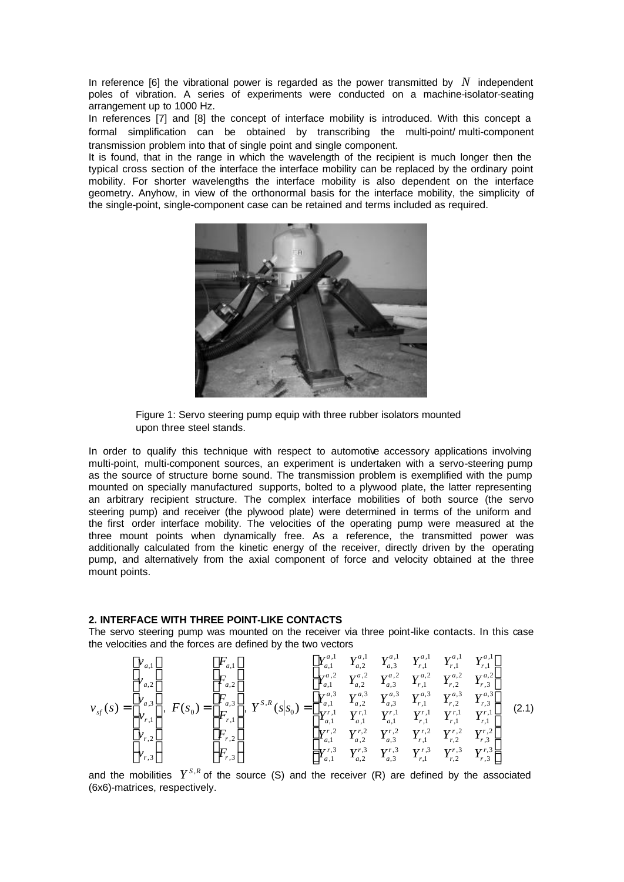In reference [6] the vibrational power is regarded as the power transmitted by *N* independent poles of vibration. A series of experiments were conducted on a machine-isolator-seating arrangement up to 1000 Hz.

In references [7] and [8] the concept of interface mobility is introduced. With this concept a formal simplification can be obtained by transcribing the multi-point/ multi-component transmission problem into that of single point and single component.

It is found, that in the range in which the wavelength of the recipient is much longer then the typical cross section of the interface the interface mobility can be replaced by the ordinary point mobility. For shorter wavelengths the interface mobility is also dependent on the interface geometry. Anyhow, in view of the orthonormal basis for the interface mobility, the simplicity of the single-point, single-component case can be retained and terms included as required.



Figure 1: Servo steering pump equip with three rubber isolators mounted upon three steel stands.

In order to qualify this technique with respect to automotive accessory applications involving multi-point, multi-component sources, an experiment is undertaken with a servo-steering pump as the source of structure borne sound. The transmission problem is exemplified with the pump mounted on specially manufactured supports, bolted to a plywood plate, the latter representing an arbitrary recipient structure. The complex interface mobilities of both source (the servo steering pump) and receiver (the plywood plate) were determined in terms of the uniform and the first order interface mobility. The velocities of the operating pump were measured at the three mount points when dynamically free. As a reference, the transmitted power was additionally calculated from the kinetic energy of the receiver, directly driven by the operating pump, and alternatively from the axial component of force and velocity obtained at the three mount points.

## **2. INTERFACE WITH THREE POINT-LIKE CONTACTS**

The servo steering pump was mounted on the receiver via three point-like contacts. In this case the velocities and the forces are defined by the two vectors

$$
v_{sf}(s) = \begin{bmatrix} v_{a,1} \\ v_{a,2} \\ v_{a,3} \\ v_{r,1} \\ v_{r,2} \\ v_{r,3} \end{bmatrix}, F(s_0) = \begin{bmatrix} F_{a,1} \\ F_{a,2} \\ F_{a,3} \\ F_{r,1} \\ F_{r,2} \\ F_{r,3} \end{bmatrix}, Y^{S,R}(s|s_0) = \begin{bmatrix} Y_{a,1}^{a,1} & Y_{a,2}^{a,1} & Y_{a,1}^{a,1} & Y_{a,1}^{a,1} & Y_{r,1}^{a,1} & Y_{r,1}^{a,1} \\ Y_{a,1}^{a,2} & Y_{a,2}^{a,2} & Y_{a,3}^{a,2} & Y_{r,1}^{a,2} & Y_{r,2}^{a,2} \\ Y_{a,1}^{a,3} & Y_{a,2}^{a,3} & Y_{a,3}^{a,3} & Y_{r,1}^{a,3} & Y_{r,2}^{a,3} \\ Y_{a,1}^{a,1} & Y_{a,1}^{a,1} & Y_{a,1}^{a,1} & Y_{r,1}^{a,1} & Y_{r,1}^{a,1} \\ Y_{a,1}^{a,2} & Y_{a,2}^{a,2} & Y_{a,3}^{a,2} & Y_{r,1}^{a,2} & Y_{r,1}^{a,3} \\ Y_{a,1}^{a,2} & Y_{a,2}^{a,2} & Y_{a,3}^{a,2} & Y_{r,1}^{a,2} & Y_{r,2}^{a,2} & Y_{r,2}^{a,2} \\ Y_{a,1}^{a,2} & Y_{a,2}^{a,2} & Y_{a,3}^{a,2} & Y_{r,1}^{a,2} & Y_{r,2}^{a,2} & Y_{r,2}^{a,2} \\ Y_{a,1}^{a,2} & Y_{a,2}^{a,2} & Y_{a,3}^{a,3} & Y_{r,1}^{a,2} & Y_{r,2}^{a,2} & Y_{r,2}^{a,2} \\ Y_{a,1}^{a,3} & Y_{a,2}^{a,3} & Y_{a,3}^{a,3} & Y_{r,1}^{a,3} & Y_{r,1}^{a,3} & Y_{r,1}^{a,3} \\ Y_{a,1}^{a,3} & Y_{a,2}^{a,3
$$

and the mobilities  $Y^{S,R}$  of the source (S) and the receiver (R) are defined by the associated (6x6)-matrices, respectively.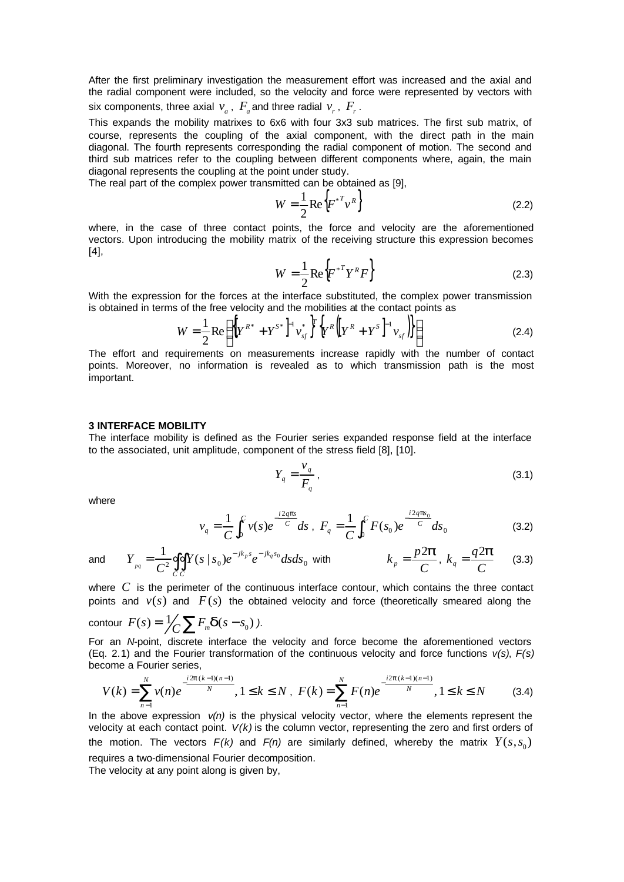After the first preliminary investigation the measurement effort was increased and the axial and the radial component were included, so the velocity and force were represented by vectors with six components, three axial  $v_a$ ,  $F_a$  and three radial  $v_r$ ,  $F_r$ .

This expands the mobility matrixes to 6x6 with four 3x3 sub matrices. The first sub matrix, of course, represents the coupling of the axial component, with the direct path in the main diagonal. The fourth represents corresponding the radial component of motion. The second and third sub matrices refer to the coupling between different components where, again, the main diagonal represents the coupling at the point under study.

The real part of the complex power transmitted can be obtained as [9],

$$
W = \frac{1}{2} \text{Re} \left\{ F^{*^T} v^R \right\} \tag{2.2}
$$

where, in the case of three contact points, the force and velocity are the aforementioned vectors. Upon introducing the mobility matrix of the receiving structure this expression becomes [4],

$$
W = \frac{1}{2} \text{Re} \left\{ F^{*T} Y^R F \right\} \tag{2.3}
$$

With the expression for the forces at the interface substituted, the complex power transmission is obtained in terms of the free velocity and the mobilities at the contact points as

$$
W = \frac{1}{2} \text{Re} \left\{ \left[ Y^{R^*} + Y^{S^*} \right]^{-1} v_{sf}^* \right\}^T \left\{ Y^R \left( \left[ Y^R + Y^S \right]^{-1} v_{sf} \right) \right\} \right\} \tag{2.4}
$$

The effort and requirements on measurements increase rapidly with the number of contact points. Moreover, no information is revealed as to which transmission path is the most important.

#### **3 INTERFACE MOBILITY**

The interface mobility is defined as the Fourier series expanded response field at the interface to the associated, unit amplitude, component of the stress field [8], [10].

$$
Y_q = \frac{v_q}{F_q} \,,\tag{3.1}
$$

where

$$
v_q = \frac{1}{C} \int_0^C v(s) e^{-\frac{i2qps}{C}} ds , \ F_q = \frac{1}{C} \int_0^C F(s_0) e^{-\frac{i2qps_0}{C}} ds_0
$$
 (3.2)

and 
$$
Y_{pq} = \frac{1}{C^2} \oint_C \oint Y(s \mid s_0) e^{-jk_p s} e^{-jk_q s_0} ds ds_0
$$
 with  $k_p = \frac{p2p}{C}$ ,  $k_q = \frac{q2p}{C}$  (3.3)

where C is the perimeter of the continuous interface contour, which contains the three contact points and  $v(s)$  and  $F(s)$  the obtained velocity and force (theoretically smeared along the

contour  $F(s) = \frac{1}{\sqrt{C}} \sum F_m \mathbf{d}(s - s_0)$ .

For an *N*-point, discrete interface the velocity and force become the aforementioned vectors (Eq. 2.1) and the Fourier transformation of the continuous velocity and force functions *v(s)*, *F(s)* become a Fourier series,

$$
V(k) = \sum_{n=1}^{N} v(n)e^{-\frac{i2p(k-1)(n-1)}{N}}, 1 \le k \le N, \ F(k) = \sum_{n=1}^{N} F(n)e^{-\frac{i2p(k-1)(n-1)}{N}}, 1 \le k \le N \tag{3.4}
$$

In the above expression  $v(n)$  is the physical velocity vector, where the elements represent the velocity at each contact point. *V(k)* is the column vector, representing the zero and first orders of the motion. The vectors  $F(k)$  and  $F(n)$  are similarly defined, whereby the matrix  $Y(s, s_0)$ requires a two-dimensional Fourier decomposition.

The velocity at any point along is given by,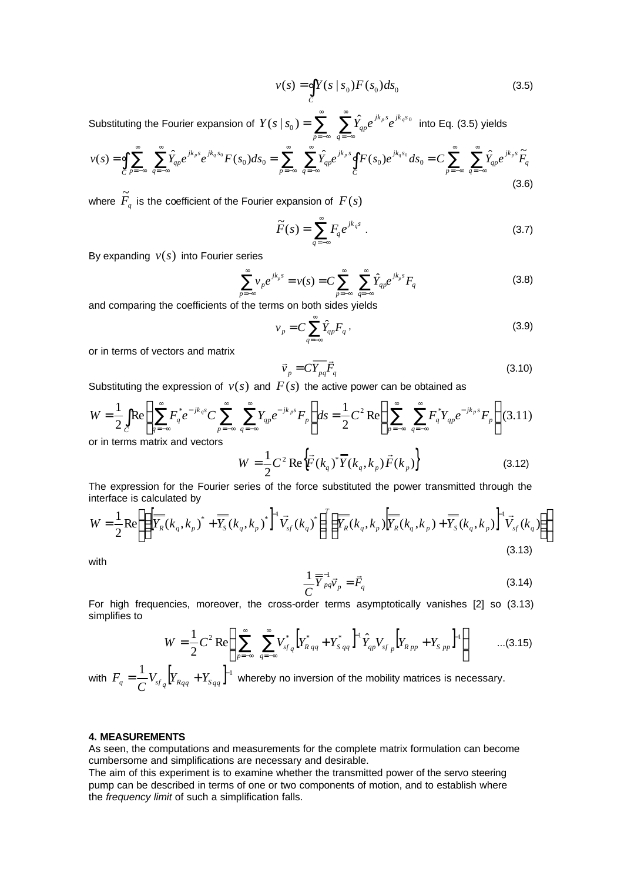$$
v(s) = \oint_C Y(s \mid s_0) F(s_0) ds_0
$$
\n(3.5)

Substituting the Fourier expansion of  $Y(s \mid s_0) = \sum_{\alpha=1}^{\infty} \sum_{\alpha=1}^{\infty}$ =−∞ ∞ =−∞ = *p* = → *q jk s jk s*  $Y(s \mid s_{_{0}})$  =  $\sum \quad \sum \hat{Y}_{_{qp}} e^{\,jk_{p}s} e^{jk_{q}s_{_{0}}}$  into Eq. (3.5) yields

$$
v(s) = \oint_C \sum_{p=-\infty}^{\infty} \sum_{q=-\infty}^{\infty} \hat{Y}_{qp} e^{jk_p s} e^{jk_q s_0} F(s_0) ds_0 = \sum_{p=-\infty}^{\infty} \sum_{q=-\infty}^{\infty} \hat{Y}_{qp} e^{jk_p s} \oint_C F(s_0) e^{jk_q s_0} ds_0 = C \sum_{p=-\infty}^{\infty} \sum_{q=-\infty}^{\infty} \hat{Y}_{qp} e^{jk_p s} \tilde{F}_q
$$
\n(3.6)

where  $\widetilde{F}_q$  is the coefficient of the Fourier expansion of  $\,F(s)\,$ 

$$
\widetilde{F}(s) = \sum_{q=-\infty}^{\infty} F_q e^{jk_q s} \tag{3.7}
$$

By expanding  $v(s)$  into Fourier series

$$
\sum_{p=-\infty}^{\infty} \nu_{p} e^{jk_{p}s} = \nu(s) = C \sum_{p=-\infty}^{\infty} \sum_{q=-\infty}^{\infty} \hat{Y}_{qp} e^{jk_{p}s} F_{q}
$$
(3.8)

and comparing the coefficients of the terms on both sides yields

$$
v_p = C \sum_{q=-\infty}^{\infty} \hat{Y}_{qp} F_q , \qquad (3.9)
$$

or in terms of vectors and matrix

$$
\vec{v}_p = C \overline{\overline{Y}_{pq}} \vec{F}_q \tag{3.10}
$$

Substituting the expression of  $v(s)$  and  $F(s)$  the active power can be obtained as

$$
W = \frac{1}{2} \int_{C} \text{Re} \left\{ \sum_{q=-\infty}^{\infty} F_q^* e^{-jk_q s} C \sum_{p=-\infty}^{\infty} \sum_{q=-\infty}^{\infty} Y_{qp} e^{-jk_p s} F_p \right\} ds = \frac{1}{2} C^2 \text{Re} \left\{ \sum_{p=-\infty}^{\infty} \sum_{q=-\infty}^{\infty} F_q^* Y_{qp} e^{-jk_p s} F_p \right\} (3.11)
$$
or in terms matrix and vectors

$$
W = \frac{1}{2}C^2 \text{Re}\{\vec{F}(k_q)^* \vec{Y}(k_q, k_p) \vec{F}(k_p)\}
$$
 (3.12)

The expression for the Fourier series of the force substituted the power transmitted through the interface is calculated by

$$
W = \frac{1}{2} \text{Re} \left\{ \left\{ \left[ \overline{\overline{Y_R}}(k_q, k_p)^* + \overline{\overline{Y_S}}(k_q, k_p)^* \right]^{-1} \overline{V_{sf}}(k_q)^* \right\}^T \left\{ \overline{\overline{Y_R}}(k_q, k_p) \left[ \overline{\overline{Y_R}}(k_q, k_p) + \overline{\overline{Y_S}}(k_q, k_p) \right]^{-1} \overline{V_{sf}}(k_q) \right\} \right\}
$$
(3.13)

with

$$
\frac{1}{C}\overline{\overline{Y}}_{pq}^{-1}\overline{Y}_p = \overline{F}_q
$$
\n(3.14)

For high frequencies, moreover, the cross-order terms asymptotically vanishes [2] so (3.13) simplifies to

$$
W = \frac{1}{2} C^2 \operatorname{Re} \left\{ \sum_{p=-\infty}^{\infty} \sum_{q=-\infty}^{\infty} V_{sfq}^* \left[ Y_{R,qq}^* + Y_{S,qq}^* \right]^{\mathrm{T}} \hat{Y}_{qp} V_{sfp} \left[ Y_{Rpp} + Y_{Spp} \right]^{\mathrm{T}} \right\} \qquad \dots (3.15)
$$

with  $F_q = \frac{1}{C} V_{sf_q} \left[ Y_{R_{qq}} + Y_{s_{qq}} \right]^{-1}$ *C*  $F_a = \frac{1}{2} V_{sf}$   $Y_{g_{aa}} + Y_{g_{aa}}$  <sup>1</sup> whereby no inversion of the mobility matrices is necessary.

### **4. MEASUREMENTS**

As seen, the computations and measurements for the complete matrix formulation can become cumbersome and simplifications are necessary and desirable.

The aim of this experiment is to examine whether the transmitted power of the servo steering pump can be described in terms of one or two components of motion, and to establish where the *frequency limit* of such a simplification falls.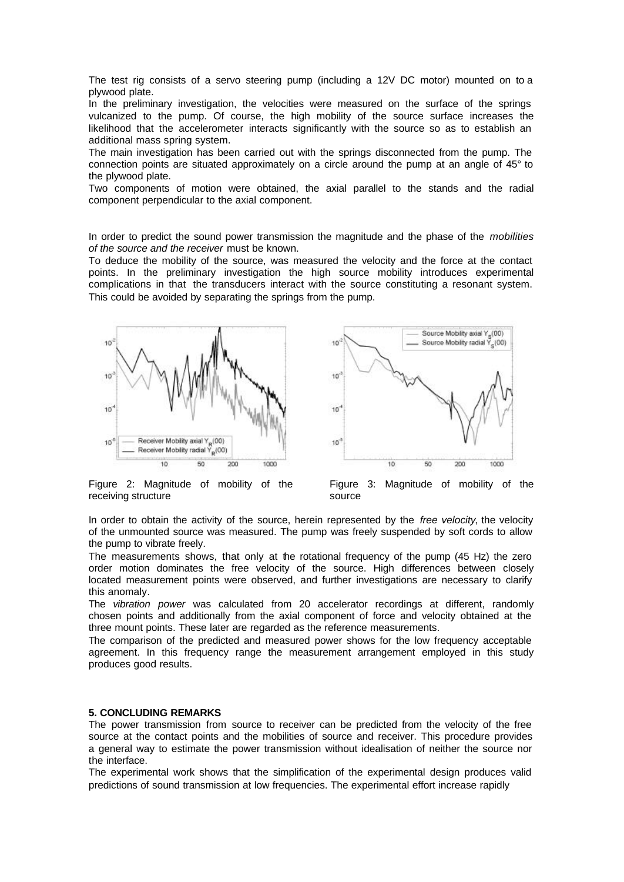The test rig consists of a servo steering pump (including a 12V DC motor) mounted on to a plywood plate.

In the preliminary investigation, the velocities were measured on the surface of the springs vulcanized to the pump. Of course, the high mobility of the source surface increases the likelihood that the accelerometer interacts significantly with the source so as to establish an additional mass spring system.

The main investigation has been carried out with the springs disconnected from the pump. The connection points are situated approximately on a circle around the pump at an angle of 45° to the plywood plate.

Two components of motion were obtained, the axial parallel to the stands and the radial component perpendicular to the axial component.

In order to predict the sound power transmission the magnitude and the phase of the *mobilities of the source and the receiver* must be known.

To deduce the mobility of the source, was measured the velocity and the force at the contact points. In the preliminary investigation the high source mobility introduces experimental complications in that the transducers interact with the source constituting a resonant system. This could be avoided by separating the springs from the pump.





Figure 2: Magnitude of mobility of the receiving structure

Figure 3: Magnitude of mobility of the source

In order to obtain the activity of the source, herein represented by the *free velocity*, the velocity of the unmounted source was measured. The pump was freely suspended by soft cords to allow the pump to vibrate freely.

The measurements shows, that only at the rotational frequency of the pump (45 Hz) the zero order motion dominates the free velocity of the source. High differences between closely located measurement points were observed, and further investigations are necessary to clarify this anomaly.

The *vibration power* was calculated from 20 accelerator recordings at different, randomly chosen points and additionally from the axial component of force and velocity obtained at the three mount points. These later are regarded as the reference measurements.

The comparison of the predicted and measured power shows for the low frequency acceptable agreement. In this frequency range the measurement arrangement employed in this study produces good results.

# **5. CONCLUDING REMARKS**

The power transmission from source to receiver can be predicted from the velocity of the free source at the contact points and the mobilities of source and receiver. This procedure provides a general way to estimate the power transmission without idealisation of neither the source nor the interface.

The experimental work shows that the simplification of the experimental design produces valid predictions of sound transmission at low frequencies. The experimental effort increase rapidly